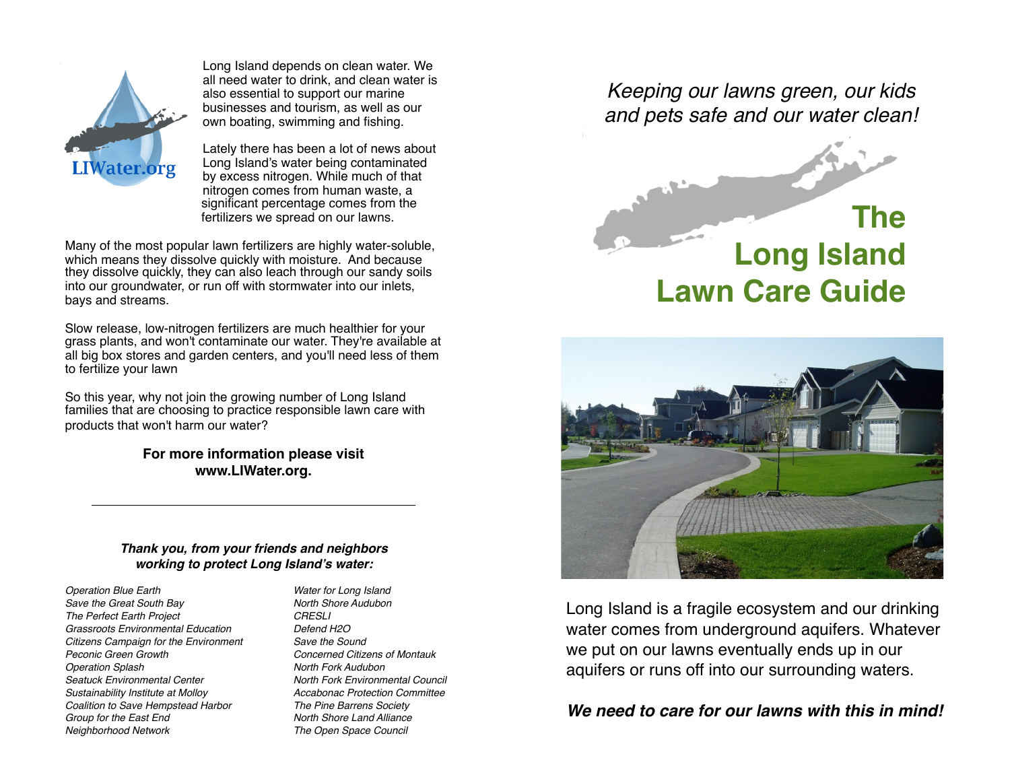

Long Island depends on clean water. We all need water to drink, and clean water is also essential to support our marine businesses and tourism, as well as our own boating, swimming and fishing.

Lately there has been a lot of news about Long Island's water being contaminated by excess nitrogen. While much of that nitrogen comes from human waste, a significant percentage comes from the fertilizers we spread on our lawns.

Many of the most popular lawn fertilizers are highly water-soluble, which means they dissolve quickly with moisture. And because they dissolve quickly, they can also leach through our sandy soils into our groundwater, or run off with stormwater into our inlets, bays and streams.

Slow release, low-nitrogen fertilizers are much healthier for your grass plants, and won't contaminate our water. They're available at all big box stores and garden centers, and you'll need less of them to fertilize your lawn

So this year, why not join the growing number of Long Island families that are choosing to practice responsible lawn care with products that won't harm our water?

> **For more information please visit www.LIWater.org.**

#### *Thank you, from your friends and neighbors working to protect Long Island's water:*

*Operation Blue Earth Save the Great South Bay The Perfect Earth Project Grassroots Environmental Education Citizens Campaign for the Environment Peconic Green Growth Operation Splash Seatuck Environmental Center Sustainability Institute at Molloy Coalition to Save Hempstead Harbor Group for the East End Neighborhood Network*

*Water for Long Island North Shore Audubon CRESLI Defend H2O Save the Sound Concerned Citizens of Montauk North Fork Audubon North Fork Environmental Council Accabonac Protection Committee The Pine Barrens Society North Shore Land Alliance The Open Space Council*

*Keeping our lawns green, our kids and pets safe and our water clean!*

# **The Long Island Lawn Care Guide**



Long Island is a fragile ecosystem and our drinking water comes from underground aquifers. Whatever we put on our lawns eventually ends up in our aquifers or runs off into our surrounding waters.

## *We need to care for our lawns with this in mind!*